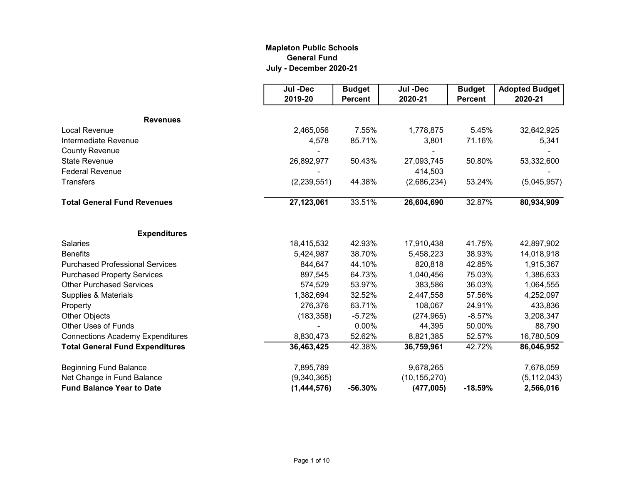## Mapleton Public Schools General Fund July - December 2020-21

|                                         | Jul -Dec    | <b>Budget</b>  | Jul -Dec       | <b>Budget</b>  | <b>Adopted Budget</b> |
|-----------------------------------------|-------------|----------------|----------------|----------------|-----------------------|
|                                         | 2019-20     | <b>Percent</b> | 2020-21        | <b>Percent</b> | 2020-21               |
| <b>Revenues</b>                         |             |                |                |                |                       |
| <b>Local Revenue</b>                    | 2,465,056   | 7.55%          | 1,778,875      | 5.45%          | 32,642,925            |
| Intermediate Revenue                    | 4,578       | 85.71%         | 3,801          | 71.16%         | 5,341                 |
| <b>County Revenue</b>                   |             |                |                |                |                       |
| <b>State Revenue</b>                    | 26,892,977  | 50.43%         | 27,093,745     | 50.80%         | 53,332,600            |
| <b>Federal Revenue</b>                  |             |                | 414,503        |                |                       |
| <b>Transfers</b>                        | (2,239,551) | 44.38%         | (2,686,234)    | 53.24%         | (5,045,957)           |
| <b>Total General Fund Revenues</b>      | 27,123,061  | 33.51%         | 26,604,690     | 32.87%         | 80,934,909            |
| <b>Expenditures</b>                     |             |                |                |                |                       |
| <b>Salaries</b>                         | 18,415,532  | 42.93%         | 17,910,438     | 41.75%         | 42,897,902            |
| <b>Benefits</b>                         | 5,424,987   | 38.70%         | 5,458,223      | 38.93%         | 14,018,918            |
| <b>Purchased Professional Services</b>  | 844,647     | 44.10%         | 820,818        | 42.85%         | 1,915,367             |
| <b>Purchased Property Services</b>      | 897,545     | 64.73%         | 1,040,456      | 75.03%         | 1,386,633             |
| <b>Other Purchased Services</b>         | 574,529     | 53.97%         | 383,586        | 36.03%         | 1,064,555             |
| Supplies & Materials                    | 1,382,694   | 32.52%         | 2,447,558      | 57.56%         | 4,252,097             |
| Property                                | 276,376     | 63.71%         | 108,067        | 24.91%         | 433,836               |
| <b>Other Objects</b>                    | (183, 358)  | $-5.72%$       | (274, 965)     | $-8.57%$       | 3,208,347             |
| <b>Other Uses of Funds</b>              |             | 0.00%          | 44,395         | 50.00%         | 88,790                |
| <b>Connections Academy Expenditures</b> | 8,830,473   | 52.62%         | 8,821,385      | 52.57%         | 16,780,509            |
| <b>Total General Fund Expenditures</b>  | 36,463,425  | 42.38%         | 36,759,961     | 42.72%         | 86,046,952            |
| <b>Beginning Fund Balance</b>           | 7,895,789   |                | 9,678,265      |                | 7,678,059             |
| Net Change in Fund Balance              | (9,340,365) |                | (10, 155, 270) |                | (5, 112, 043)         |
| <b>Fund Balance Year to Date</b>        | (1,444,576) | $-56.30%$      | (477,005)      | $-18.59%$      | 2,566,016             |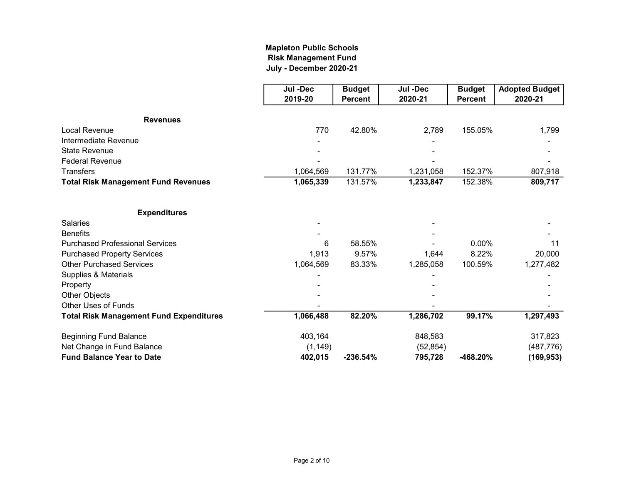## July - December 2020-21 Mapleton Public Schools Risk Management Fund

|                                                | Jul -Dec  | <b>Budget</b>  | Jul -Dec  | <b>Budget</b>  | <b>Adopted Budget</b> |
|------------------------------------------------|-----------|----------------|-----------|----------------|-----------------------|
|                                                | 2019-20   | <b>Percent</b> | 2020-21   | <b>Percent</b> | 2020-21               |
| <b>Revenues</b>                                |           |                |           |                |                       |
| Local Revenue                                  | 770       | 42.80%         | 2,789     | 155.05%        | 1,799                 |
| Intermediate Revenue                           |           |                |           |                |                       |
| <b>State Revenue</b>                           |           |                |           |                |                       |
| <b>Federal Revenue</b>                         |           |                |           |                |                       |
| <b>Transfers</b>                               | 1,064,569 | 131.77%        | 1,231,058 | 152.37%        | 807,918               |
| <b>Total Risk Management Fund Revenues</b>     | 1,065,339 | 131.57%        | 1,233,847 | 152.38%        | 809,717               |
| <b>Expenditures</b>                            |           |                |           |                |                       |
| <b>Salaries</b>                                |           |                |           |                |                       |
| <b>Benefits</b>                                |           |                |           |                |                       |
| <b>Purchased Professional Services</b>         | 6         | 58.55%         |           | $0.00\%$       | 11                    |
| <b>Purchased Property Services</b>             | 1,913     | 9.57%          | 1,644     | 8.22%          | 20,000                |
| <b>Other Purchased Services</b>                | 1,064,569 | 83.33%         | 1,285,058 | 100.59%        | 1,277,482             |
| Supplies & Materials                           |           |                |           |                |                       |
| Property                                       |           |                |           |                |                       |
| Other Objects                                  |           |                |           |                |                       |
| <b>Other Uses of Funds</b>                     |           |                |           |                |                       |
| <b>Total Risk Management Fund Expenditures</b> | 1,066,488 | 82.20%         | 1,286,702 | 99.17%         | 1,297,493             |
| <b>Beginning Fund Balance</b>                  | 403,164   |                | 848,583   |                | 317,823               |
| Net Change in Fund Balance                     | (1, 149)  |                | (52, 854) |                | (487, 776)            |
| <b>Fund Balance Year to Date</b>               | 402,015   | $-236.54%$     | 795,728   | -468.20%       | (169, 953)            |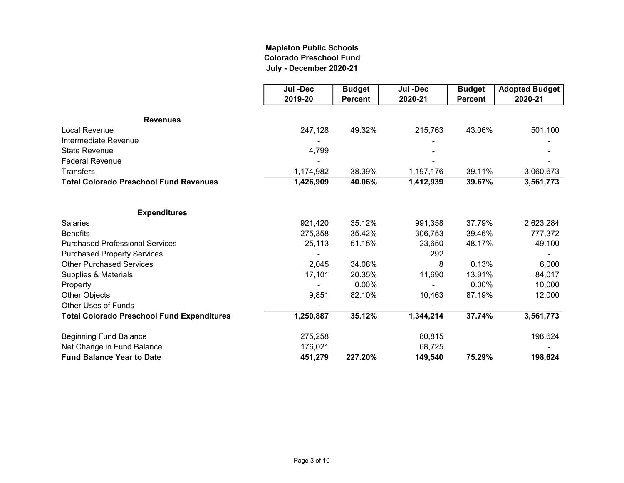## Mapleton Public Schools Colorado Preschool Fund July - December 2020-21

|                                                   | Jul -Dec  | <b>Budget</b>  | Jul -Dec  | <b>Budget</b>  | <b>Adopted Budget</b> |
|---------------------------------------------------|-----------|----------------|-----------|----------------|-----------------------|
|                                                   | 2019-20   | <b>Percent</b> | 2020-21   | <b>Percent</b> | 2020-21               |
| <b>Revenues</b>                                   |           |                |           |                |                       |
| Local Revenue                                     | 247,128   | 49.32%         | 215,763   | 43.06%         | 501,100               |
| Intermediate Revenue                              |           |                |           |                |                       |
| <b>State Revenue</b>                              | 4,799     |                |           |                |                       |
| <b>Federal Revenue</b>                            |           |                |           |                |                       |
| <b>Transfers</b>                                  | 1,174,982 | 38.39%         | 1,197,176 | 39.11%         | 3,060,673             |
| <b>Total Colorado Preschool Fund Revenues</b>     | 1,426,909 | 40.06%         | 1,412,939 | 39.67%         | 3,561,773             |
| <b>Expenditures</b>                               |           |                |           |                |                       |
| <b>Salaries</b>                                   | 921,420   | 35.12%         | 991,358   | 37.79%         | 2,623,284             |
| <b>Benefits</b>                                   | 275,358   | 35.42%         | 306,753   | 39.46%         | 777,372               |
| <b>Purchased Professional Services</b>            | 25,113    | 51.15%         | 23,650    | 48.17%         | 49,100                |
| <b>Purchased Property Services</b>                |           |                | 292       |                |                       |
| <b>Other Purchased Services</b>                   | 2,045     | 34.08%         | 8         | 0.13%          | 6,000                 |
| Supplies & Materials                              | 17,101    | 20.35%         | 11,690    | 13.91%         | 84,017                |
| Property                                          |           | 0.00%          |           | 0.00%          | 10,000                |
| Other Objects                                     | 9,851     | 82.10%         | 10,463    | 87.19%         | 12,000                |
| Other Uses of Funds                               |           |                |           |                |                       |
| <b>Total Colorado Preschool Fund Expenditures</b> | 1,250,887 | 35.12%         | 1,344,214 | 37.74%         | 3,561,773             |
| <b>Beginning Fund Balance</b>                     | 275,258   |                | 80,815    |                | 198,624               |
| Net Change in Fund Balance                        | 176,021   |                | 68,725    |                |                       |
| <b>Fund Balance Year to Date</b>                  | 451,279   | 227.20%        | 149,540   | 75.29%         | 198,624               |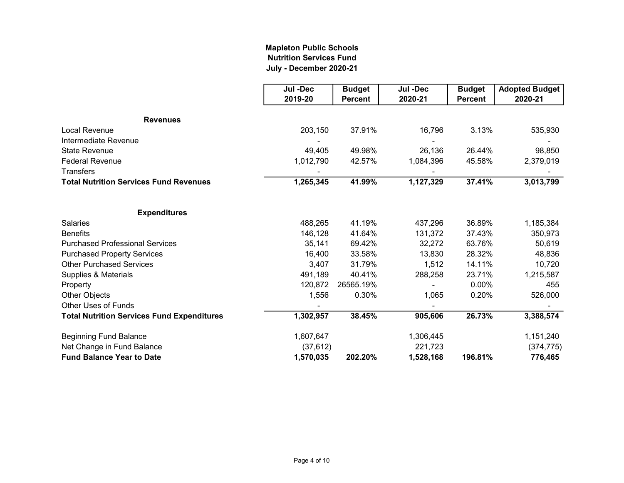## Mapleton Public Schools Nutrition Services Fund July - December 2020-21

|                                                   | Jul -Dec  | <b>Budget</b>  | Jul -Dec  | <b>Budget</b>  | <b>Adopted Budget</b> |
|---------------------------------------------------|-----------|----------------|-----------|----------------|-----------------------|
|                                                   | 2019-20   | <b>Percent</b> | 2020-21   | <b>Percent</b> | 2020-21               |
| <b>Revenues</b>                                   |           |                |           |                |                       |
| Local Revenue                                     | 203,150   | 37.91%         | 16,796    | 3.13%          | 535,930               |
| Intermediate Revenue                              |           |                |           |                |                       |
| <b>State Revenue</b>                              | 49,405    | 49.98%         | 26,136    | 26.44%         | 98,850                |
| <b>Federal Revenue</b>                            | 1,012,790 | 42.57%         | 1,084,396 | 45.58%         | 2,379,019             |
| <b>Transfers</b>                                  |           |                |           |                |                       |
| <b>Total Nutrition Services Fund Revenues</b>     | 1,265,345 | 41.99%         | 1,127,329 | 37.41%         | 3,013,799             |
| <b>Expenditures</b>                               |           |                |           |                |                       |
| <b>Salaries</b>                                   | 488,265   | 41.19%         | 437,296   | 36.89%         | 1,185,384             |
| <b>Benefits</b>                                   | 146,128   | 41.64%         | 131,372   | 37.43%         | 350,973               |
| <b>Purchased Professional Services</b>            | 35,141    | 69.42%         | 32,272    | 63.76%         | 50,619                |
| <b>Purchased Property Services</b>                | 16,400    | 33.58%         | 13,830    | 28.32%         | 48,836                |
| <b>Other Purchased Services</b>                   | 3,407     | 31.79%         | 1,512     | 14.11%         | 10,720                |
| Supplies & Materials                              | 491,189   | 40.41%         | 288,258   | 23.71%         | 1,215,587             |
| Property                                          | 120,872   | 26565.19%      |           | $0.00\%$       | 455                   |
| Other Objects                                     | 1,556     | 0.30%          | 1,065     | 0.20%          | 526,000               |
| <b>Other Uses of Funds</b>                        |           |                |           |                |                       |
| <b>Total Nutrition Services Fund Expenditures</b> | 1,302,957 | 38.45%         | 905,606   | 26.73%         | 3,388,574             |
| <b>Beginning Fund Balance</b>                     | 1,607,647 |                | 1,306,445 |                | 1,151,240             |
| Net Change in Fund Balance                        | (37, 612) |                | 221,723   |                | (374, 775)            |
| <b>Fund Balance Year to Date</b>                  | 1,570,035 | 202.20%        | 1,528,168 | 196.81%        | 776,465               |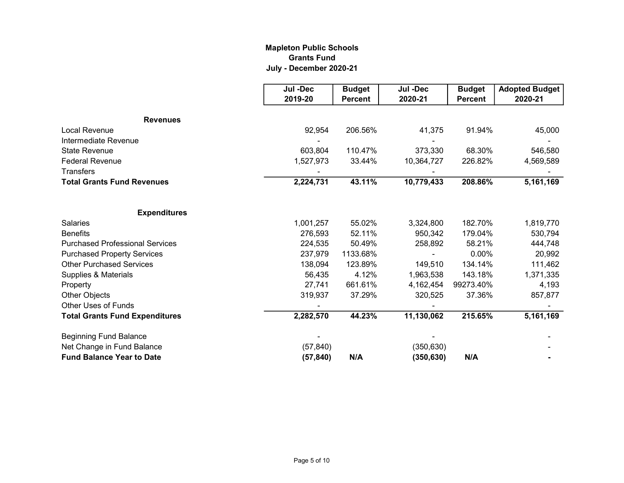## Mapleton Public Schools Grants Fund July - December 2020-21

|                                        | Jul -Dec  | <b>Budget</b>  | Jul -Dec   | <b>Budget</b>  | <b>Adopted Budget</b> |
|----------------------------------------|-----------|----------------|------------|----------------|-----------------------|
|                                        | 2019-20   | <b>Percent</b> | 2020-21    | <b>Percent</b> | 2020-21               |
| <b>Revenues</b>                        |           |                |            |                |                       |
| <b>Local Revenue</b>                   | 92,954    | 206.56%        | 41,375     | 91.94%         | 45,000                |
| Intermediate Revenue                   |           |                |            |                |                       |
|                                        |           |                |            | 68.30%         |                       |
| <b>State Revenue</b>                   | 603,804   | 110.47%        | 373,330    |                | 546,580               |
| <b>Federal Revenue</b>                 | 1,527,973 | 33.44%         | 10,364,727 | 226.82%        | 4,569,589             |
| <b>Transfers</b>                       |           |                |            |                |                       |
| <b>Total Grants Fund Revenues</b>      | 2,224,731 | 43.11%         | 10,779,433 | 208.86%        | 5,161,169             |
|                                        |           |                |            |                |                       |
| <b>Expenditures</b>                    |           |                |            |                |                       |
| <b>Salaries</b>                        | 1,001,257 | 55.02%         | 3,324,800  | 182.70%        | 1,819,770             |
| <b>Benefits</b>                        | 276,593   | 52.11%         | 950,342    | 179.04%        | 530,794               |
| <b>Purchased Professional Services</b> | 224,535   | 50.49%         | 258,892    | 58.21%         | 444,748               |
| <b>Purchased Property Services</b>     | 237,979   | 1133.68%       |            | 0.00%          | 20,992                |
| <b>Other Purchased Services</b>        | 138,094   | 123.89%        | 149,510    | 134.14%        | 111,462               |
| Supplies & Materials                   | 56,435    | 4.12%          | 1,963,538  | 143.18%        | 1,371,335             |
| Property                               | 27,741    | 661.61%        | 4,162,454  | 99273.40%      | 4,193                 |
| Other Objects                          | 319,937   | 37.29%         | 320,525    | 37.36%         | 857,877               |
| <b>Other Uses of Funds</b>             |           |                |            |                |                       |
| <b>Total Grants Fund Expenditures</b>  | 2,282,570 | 44.23%         | 11,130,062 | 215.65%        | 5,161,169             |
| <b>Beginning Fund Balance</b>          |           |                |            |                |                       |
| Net Change in Fund Balance             | (57, 840) |                | (350, 630) |                |                       |
| <b>Fund Balance Year to Date</b>       | (57, 840) | N/A            | (350, 630) | N/A            |                       |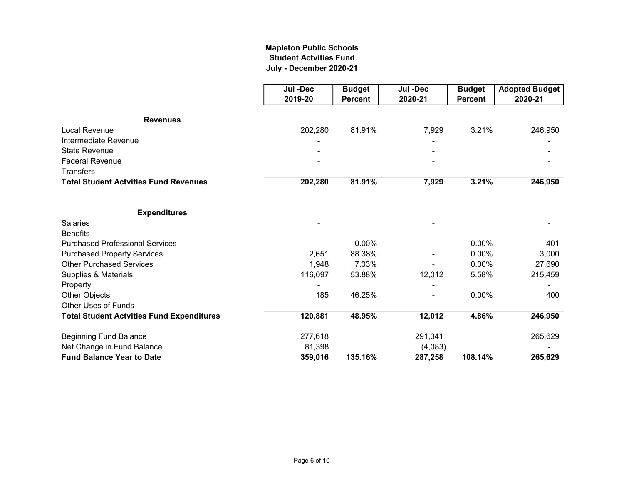## July - December 2020-21 Mapleton Public Schools Student Actvities Fund

|                                                  | Jul -Dec | <b>Budget</b>  | Jul -Dec | <b>Budget</b>  | <b>Adopted Budget</b> |
|--------------------------------------------------|----------|----------------|----------|----------------|-----------------------|
|                                                  | 2019-20  | <b>Percent</b> | 2020-21  | <b>Percent</b> | 2020-21               |
| <b>Revenues</b>                                  |          |                |          |                |                       |
| <b>Local Revenue</b>                             | 202,280  | 81.91%         | 7,929    | 3.21%          | 246,950               |
| Intermediate Revenue                             |          |                |          |                |                       |
| <b>State Revenue</b>                             |          |                |          |                |                       |
| <b>Federal Revenue</b>                           |          |                |          |                |                       |
| <b>Transfers</b>                                 |          |                |          |                |                       |
| <b>Total Student Actvities Fund Revenues</b>     | 202,280  | 81.91%         | 7,929    | 3.21%          | 246,950               |
| <b>Expenditures</b>                              |          |                |          |                |                       |
| <b>Salaries</b>                                  |          |                |          |                |                       |
| <b>Benefits</b>                                  |          |                |          |                |                       |
| <b>Purchased Professional Services</b>           |          | 0.00%          |          | 0.00%          | 401                   |
| <b>Purchased Property Services</b>               | 2,651    | 88.38%         |          | 0.00%          | 3,000                 |
| <b>Other Purchased Services</b>                  | 1,948    | 7.03%          |          | 0.00%          | 27,690                |
| Supplies & Materials                             | 116,097  | 53.88%         | 12,012   | 5.58%          | 215,459               |
| Property                                         |          |                |          |                |                       |
| Other Objects                                    | 185      | 46.25%         |          | $0.00\%$       | 400                   |
| <b>Other Uses of Funds</b>                       |          |                |          |                |                       |
| <b>Total Student Actvities Fund Expenditures</b> | 120,881  | 48.95%         | 12,012   | 4.86%          | 246,950               |
| <b>Beginning Fund Balance</b>                    | 277,618  |                | 291,341  |                | 265,629               |
| Net Change in Fund Balance                       | 81,398   |                | (4,083)  |                |                       |
| <b>Fund Balance Year to Date</b>                 | 359,016  | 135.16%        | 287,258  | 108.14%        | 265,629               |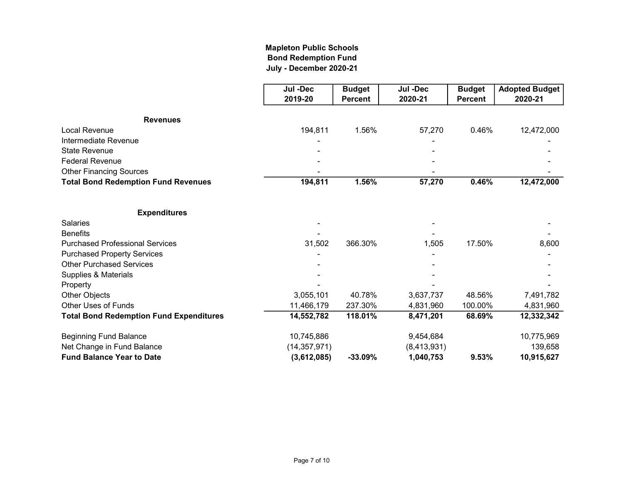## Mapleton Public Schools Bond Redemption Fund July - December 2020-21

|                                                | Jul -Dec       | <b>Budget</b>  | Jul -Dec    | <b>Budget</b>  | <b>Adopted Budget</b> |
|------------------------------------------------|----------------|----------------|-------------|----------------|-----------------------|
|                                                | 2019-20        | <b>Percent</b> | 2020-21     | <b>Percent</b> | 2020-21               |
| <b>Revenues</b>                                |                |                |             |                |                       |
| <b>Local Revenue</b>                           | 194,811        | 1.56%          | 57,270      | 0.46%          | 12,472,000            |
| Intermediate Revenue                           |                |                |             |                |                       |
| <b>State Revenue</b>                           |                |                |             |                |                       |
| <b>Federal Revenue</b>                         |                |                |             |                |                       |
| <b>Other Financing Sources</b>                 |                |                |             |                |                       |
| <b>Total Bond Redemption Fund Revenues</b>     | 194,811        | 1.56%          | 57,270      | 0.46%          | 12,472,000            |
| <b>Expenditures</b>                            |                |                |             |                |                       |
| <b>Salaries</b>                                |                |                |             |                |                       |
| <b>Benefits</b>                                |                |                |             |                |                       |
| <b>Purchased Professional Services</b>         | 31,502         | 366.30%        | 1,505       | 17.50%         | 8,600                 |
| <b>Purchased Property Services</b>             |                |                |             |                |                       |
| <b>Other Purchased Services</b>                |                |                |             |                |                       |
| Supplies & Materials                           |                |                |             |                |                       |
| Property                                       |                |                |             |                |                       |
| Other Objects                                  | 3,055,101      | 40.78%         | 3,637,737   | 48.56%         | 7,491,782             |
| <b>Other Uses of Funds</b>                     | 11,466,179     | 237.30%        | 4,831,960   | 100.00%        | 4,831,960             |
| <b>Total Bond Redemption Fund Expenditures</b> | 14,552,782     | 118.01%        | 8,471,201   | 68.69%         | 12,332,342            |
| <b>Beginning Fund Balance</b>                  | 10,745,886     |                | 9,454,684   |                | 10,775,969            |
| Net Change in Fund Balance                     | (14, 357, 971) |                | (8,413,931) |                | 139,658               |
| <b>Fund Balance Year to Date</b>               | (3,612,085)    | $-33.09%$      | 1,040,753   | 9.53%          | 10,915,627            |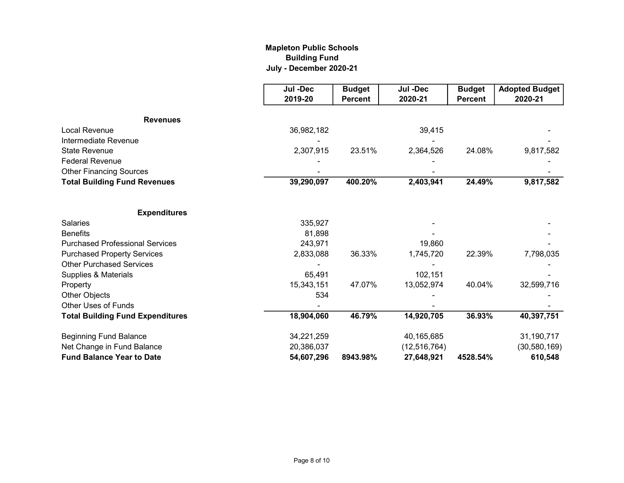## Mapleton Public Schools Building Fund July - December 2020-21

|                                         | Jul -Dec   | <b>Budget</b>  | Jul -Dec       | <b>Budget</b>  | <b>Adopted Budget</b> |
|-----------------------------------------|------------|----------------|----------------|----------------|-----------------------|
|                                         | 2019-20    | <b>Percent</b> | 2020-21        | <b>Percent</b> | 2020-21               |
| <b>Revenues</b>                         |            |                |                |                |                       |
| <b>Local Revenue</b>                    | 36,982,182 |                | 39,415         |                |                       |
| Intermediate Revenue                    |            |                |                |                |                       |
| <b>State Revenue</b>                    | 2,307,915  | 23.51%         | 2,364,526      | 24.08%         | 9,817,582             |
| <b>Federal Revenue</b>                  |            |                |                |                |                       |
| <b>Other Financing Sources</b>          |            |                |                |                |                       |
| <b>Total Building Fund Revenues</b>     | 39,290,097 | 400.20%        | 2,403,941      | 24.49%         | 9,817,582             |
| <b>Expenditures</b>                     |            |                |                |                |                       |
| <b>Salaries</b>                         | 335,927    |                |                |                |                       |
| <b>Benefits</b>                         | 81,898     |                |                |                |                       |
| <b>Purchased Professional Services</b>  | 243,971    |                | 19,860         |                |                       |
| <b>Purchased Property Services</b>      | 2,833,088  | 36.33%         | 1,745,720      | 22.39%         | 7,798,035             |
| <b>Other Purchased Services</b>         |            |                |                |                |                       |
| Supplies & Materials                    | 65,491     |                | 102,151        |                |                       |
| Property                                | 15,343,151 | 47.07%         | 13,052,974     | 40.04%         | 32,599,716            |
| Other Objects                           | 534        |                |                |                |                       |
| <b>Other Uses of Funds</b>              |            |                |                |                |                       |
| <b>Total Building Fund Expenditures</b> | 18,904,060 | 46.79%         | 14,920,705     | 36.93%         | 40,397,751            |
| <b>Beginning Fund Balance</b>           | 34,221,259 |                | 40,165,685     |                | 31,190,717            |
| Net Change in Fund Balance              | 20,386,037 |                | (12, 516, 764) |                | (30, 580, 169)        |
| <b>Fund Balance Year to Date</b>        | 54,607,296 | 8943.98%       | 27,648,921     | 4528.54%       | 610,548               |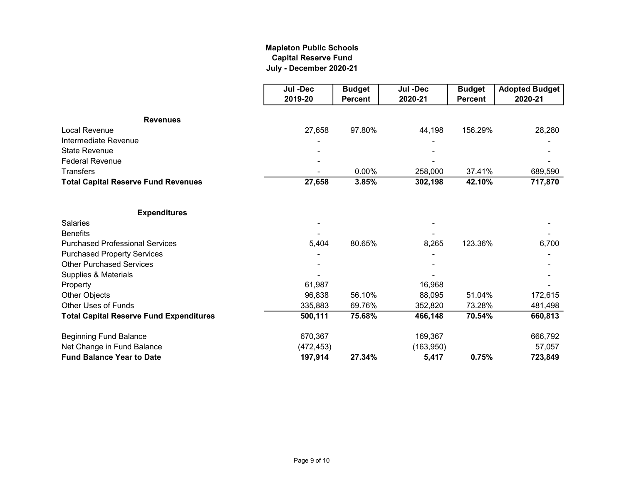## Mapleton Public Schools Capital Reserve Fund July - December 2020-21

|                                                | Jul -Dec   | <b>Budget</b>  | Jul -Dec  | <b>Budget</b>  | <b>Adopted Budget</b> |
|------------------------------------------------|------------|----------------|-----------|----------------|-----------------------|
|                                                | 2019-20    | <b>Percent</b> | 2020-21   | <b>Percent</b> | 2020-21               |
| <b>Revenues</b>                                |            |                |           |                |                       |
| <b>Local Revenue</b>                           | 27,658     | 97.80%         | 44,198    | 156.29%        | 28,280                |
| Intermediate Revenue                           |            |                |           |                |                       |
| <b>State Revenue</b>                           |            |                |           |                |                       |
| <b>Federal Revenue</b>                         |            |                |           |                |                       |
| <b>Transfers</b>                               |            | 0.00%          | 258,000   | 37.41%         | 689,590               |
| <b>Total Capital Reserve Fund Revenues</b>     | 27,658     | 3.85%          | 302,198   | 42.10%         | 717,870               |
| <b>Expenditures</b>                            |            |                |           |                |                       |
| <b>Salaries</b>                                |            |                |           |                |                       |
| <b>Benefits</b>                                |            |                |           |                |                       |
| <b>Purchased Professional Services</b>         | 5,404      | 80.65%         | 8,265     | 123.36%        | 6,700                 |
| <b>Purchased Property Services</b>             |            |                |           |                |                       |
| <b>Other Purchased Services</b>                |            |                |           |                |                       |
| Supplies & Materials                           |            |                |           |                |                       |
| Property                                       | 61,987     |                | 16,968    |                |                       |
| Other Objects                                  | 96,838     | 56.10%         | 88,095    | 51.04%         | 172,615               |
| <b>Other Uses of Funds</b>                     | 335,883    | 69.76%         | 352,820   | 73.28%         | 481,498               |
| <b>Total Capital Reserve Fund Expenditures</b> | 500,111    | 75.68%         | 466,148   | 70.54%         | 660,813               |
| <b>Beginning Fund Balance</b>                  | 670,367    |                | 169,367   |                | 666,792               |
| Net Change in Fund Balance                     | (472, 453) |                | (163,950) |                | 57,057                |
| <b>Fund Balance Year to Date</b>               | 197,914    | 27.34%         | 5,417     | 0.75%          | 723,849               |